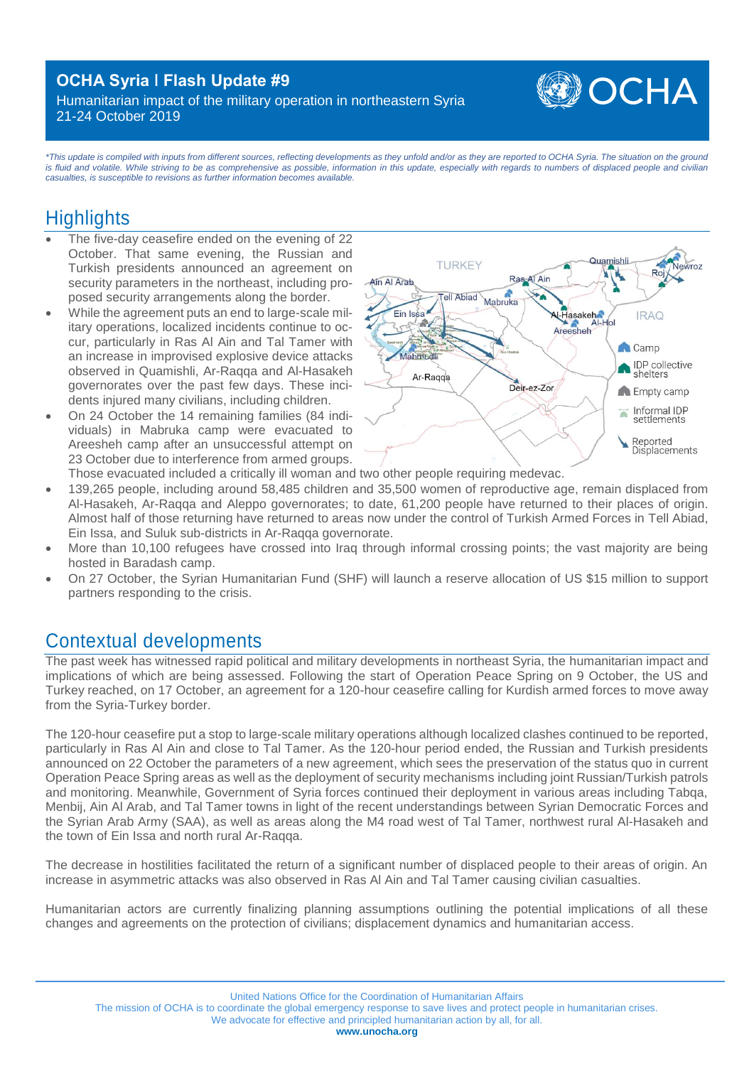## **OCHA Syria ǀ Flash Update #9**

Humanitarian impact of the military operation in northeastern Syria 21-24 October 2019



*\*This update is compiled with inputs from different sources, reflecting developments as they unfold and/or as they are reported to OCHA Syria. The situation on the ground*  is fluid and volatile. While striving to be as comprehensive as possible, information in this update, especially with regards to numbers of displaced people and civilian *casualties, is susceptible to revisions as further information becomes available.* 

## **Highlights**

- The five-day ceasefire ended on the evening of 22 October. That same evening, the Russian and Turkish presidents announced an agreement on security parameters in the northeast, including proposed security arrangements along the border.
- While the agreement puts an end to large-scale military operations, localized incidents continue to occur, particularly in Ras Al Ain and Tal Tamer with an increase in improvised explosive device attacks observed in Quamishli, Ar-Raqqa and Al-Hasakeh governorates over the past few days. These incidents injured many civilians, including children.
- On 24 October the 14 remaining families (84 individuals) in Mabruka camp were evacuated to Areesheh camp after an unsuccessful attempt on 23 October due to interference from armed groups.



Those evacuated included a critically ill woman and two other people requiring medevac.

- 139,265 people, including around 58,485 children and 35,500 women of reproductive age, remain displaced from Al-Hasakeh, Ar-Raqqa and Aleppo governorates; to date, 61,200 people have returned to their places of origin. Almost half of those returning have returned to areas now under the control of Turkish Armed Forces in Tell Abiad, Ein Issa, and Suluk sub-districts in Ar-Raqqa governorate.
- More than 10,100 refugees have crossed into Iraq through informal crossing points; the vast majority are being hosted in Baradash camp.
- On 27 October, the Syrian Humanitarian Fund (SHF) will launch a reserve allocation of US \$15 million to support partners responding to the crisis.

## Contextual developments

The past week has witnessed rapid political and military developments in northeast Syria, the humanitarian impact and implications of which are being assessed. Following the start of Operation Peace Spring on 9 October, the US and Turkey reached, on 17 October, an agreement for a 120-hour ceasefire calling for Kurdish armed forces to move away from the Syria-Turkey border.

The 120-hour ceasefire put a stop to large-scale military operations although localized clashes continued to be reported, particularly in Ras Al Ain and close to Tal Tamer. As the 120-hour period ended, the Russian and Turkish presidents announced on 22 October the parameters of a new agreement, which sees the preservation of the status quo in current Operation Peace Spring areas as well as the deployment of security mechanisms including joint Russian/Turkish patrols and monitoring. Meanwhile, Government of Syria forces continued their deployment in various areas including Tabqa, Menbij, Ain Al Arab, and Tal Tamer towns in light of the recent understandings between Syrian Democratic Forces and the Syrian Arab Army (SAA), as well as areas along the M4 road west of Tal Tamer, northwest rural Al-Hasakeh and the town of Ein Issa and north rural Ar-Raqqa.

The decrease in hostilities facilitated the return of a significant number of displaced people to their areas of origin. An increase in asymmetric attacks was also observed in Ras Al Ain and Tal Tamer causing civilian casualties.

Humanitarian actors are currently finalizing planning assumptions outlining the potential implications of all these changes and agreements on the protection of civilians; displacement dynamics and humanitarian access.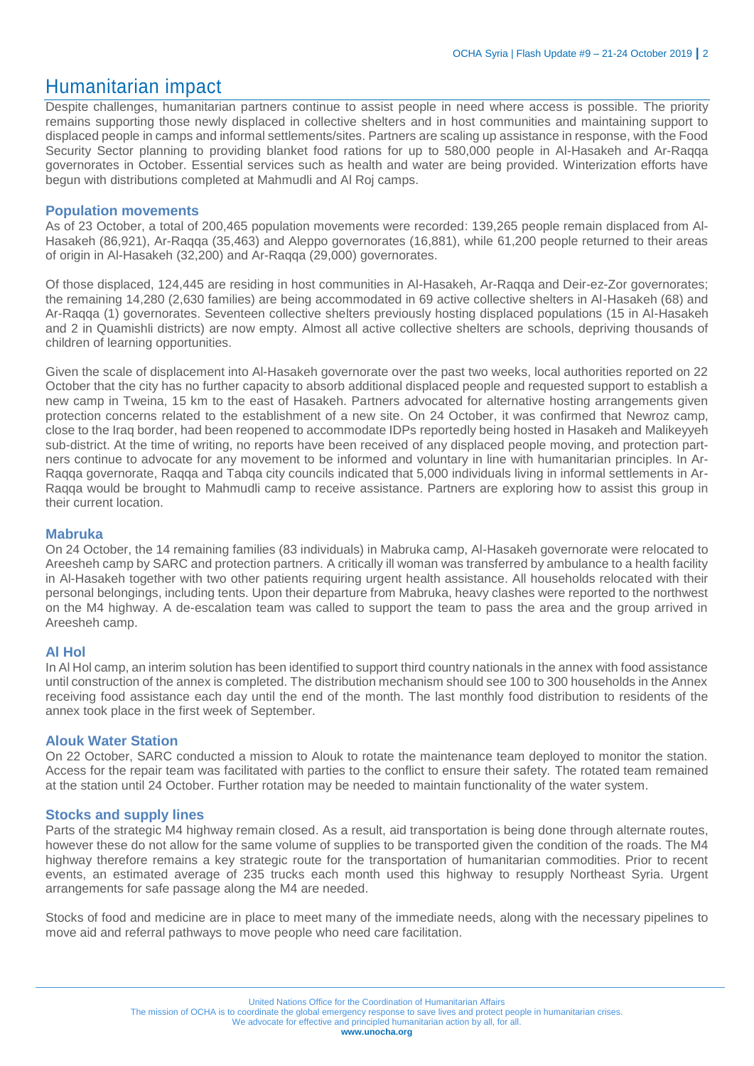## Humanitarian impact

Despite challenges, humanitarian partners continue to assist people in need where access is possible. The priority remains supporting those newly displaced in collective shelters and in host communities and maintaining support to displaced people in camps and informal settlements/sites. Partners are scaling up assistance in response, with the Food Security Sector planning to providing blanket food rations for up to 580,000 people in Al-Hasakeh and Ar-Raqqa governorates in October. Essential services such as health and water are being provided. Winterization efforts have begun with distributions completed at Mahmudli and Al Roj camps.

#### **Population movements**

As of 23 October, a total of 200,465 population movements were recorded: 139,265 people remain displaced from Al-Hasakeh (86,921), Ar-Raqqa (35,463) and Aleppo governorates (16,881), while 61,200 people returned to their areas of origin in Al-Hasakeh (32,200) and Ar-Raqqa (29,000) governorates.

Of those displaced, 124,445 are residing in host communities in Al-Hasakeh, Ar-Raqqa and Deir-ez-Zor governorates; the remaining 14,280 (2,630 families) are being accommodated in 69 active collective shelters in Al-Hasakeh (68) and Ar-Raqqa (1) governorates. Seventeen collective shelters previously hosting displaced populations (15 in Al-Hasakeh and 2 in Quamishli districts) are now empty. Almost all active collective shelters are schools, depriving thousands of children of learning opportunities.

Given the scale of displacement into Al-Hasakeh governorate over the past two weeks, local authorities reported on 22 October that the city has no further capacity to absorb additional displaced people and requested support to establish a new camp in Tweina, 15 km to the east of Hasakeh. Partners advocated for alternative hosting arrangements given protection concerns related to the establishment of a new site. On 24 October, it was confirmed that Newroz camp, close to the Iraq border, had been reopened to accommodate IDPs reportedly being hosted in Hasakeh and Malikeyyeh sub-district. At the time of writing, no reports have been received of any displaced people moving, and protection partners continue to advocate for any movement to be informed and voluntary in line with humanitarian principles. In Ar-Raqqa governorate, Raqqa and Tabqa city councils indicated that 5,000 individuals living in informal settlements in Ar-Raqqa would be brought to Mahmudli camp to receive assistance. Partners are exploring how to assist this group in their current location.

#### **Mabruka**

On 24 October, the 14 remaining families (83 individuals) in Mabruka camp, Al-Hasakeh governorate were relocated to Areesheh camp by SARC and protection partners. A critically ill woman was transferred by ambulance to a health facility in Al-Hasakeh together with two other patients requiring urgent health assistance. All households relocated with their personal belongings, including tents. Upon their departure from Mabruka, heavy clashes were reported to the northwest on the M4 highway. A de-escalation team was called to support the team to pass the area and the group arrived in Areesheh camp.

#### **Al Hol**

In Al Hol camp, an interim solution has been identified to support third country nationals in the annex with food assistance until construction of the annex is completed. The distribution mechanism should see 100 to 300 households in the Annex receiving food assistance each day until the end of the month. The last monthly food distribution to residents of the annex took place in the first week of September.

#### **Alouk Water Station**

On 22 October, SARC conducted a mission to Alouk to rotate the maintenance team deployed to monitor the station. Access for the repair team was facilitated with parties to the conflict to ensure their safety. The rotated team remained at the station until 24 October. Further rotation may be needed to maintain functionality of the water system.

#### **Stocks and supply lines**

Parts of the strategic M4 highway remain closed. As a result, aid transportation is being done through alternate routes, however these do not allow for the same volume of supplies to be transported given the condition of the roads. The M4 highway therefore remains a key strategic route for the transportation of humanitarian commodities. Prior to recent events, an estimated average of 235 trucks each month used this highway to resupply Northeast Syria. Urgent arrangements for safe passage along the M4 are needed.

Stocks of food and medicine are in place to meet many of the immediate needs, along with the necessary pipelines to move aid and referral pathways to move people who need care facilitation.

The mission of OCHA is to coordinate the global emergency response to save lives and protect people in humanitarian crises.

We advocate for effective and principled humanitarian action by all, for all.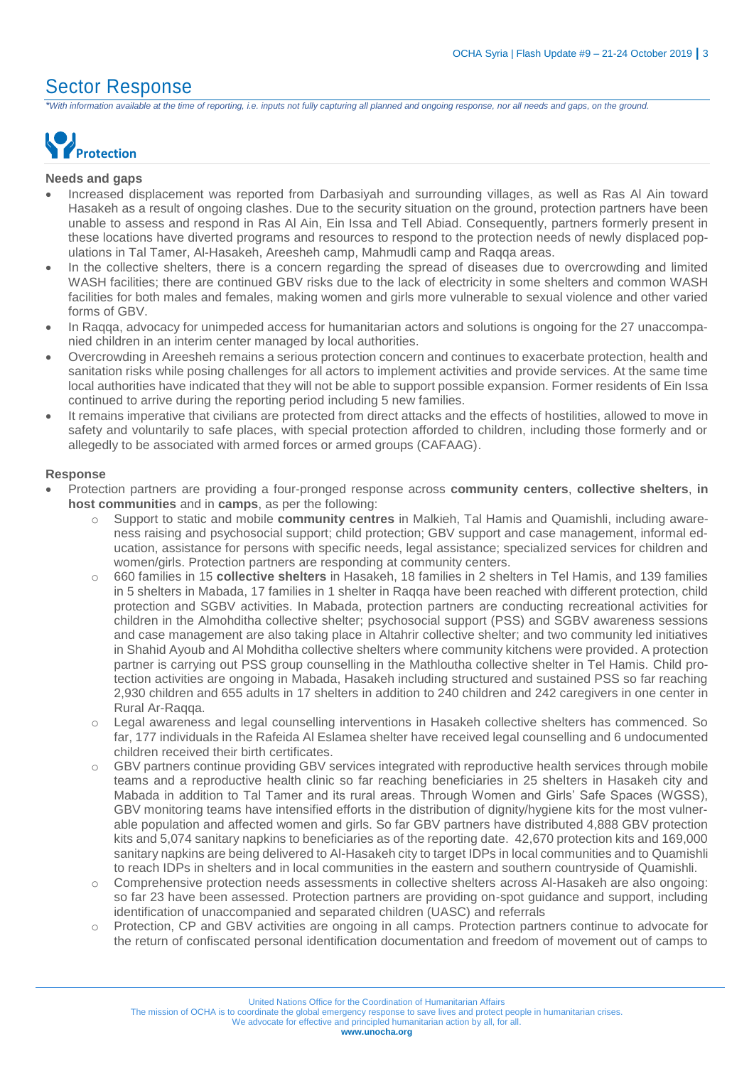### Sector Response

*\*With information available at the time of reporting, i.e. inputs not fully capturing all planned and ongoing response, nor all needs and gaps, on the ground.*



#### **Needs and gaps**

- Increased displacement was reported from Darbasiyah and surrounding villages, as well as Ras Al Ain toward Hasakeh as a result of ongoing clashes. Due to the security situation on the ground, protection partners have been unable to assess and respond in Ras Al Ain, Ein Issa and Tell Abiad. Consequently, partners formerly present in these locations have diverted programs and resources to respond to the protection needs of newly displaced populations in Tal Tamer, Al-Hasakeh, Areesheh camp, Mahmudli camp and Raqqa areas.
- In the collective shelters, there is a concern regarding the spread of diseases due to overcrowding and limited WASH facilities; there are continued GBV risks due to the lack of electricity in some shelters and common WASH facilities for both males and females, making women and girls more vulnerable to sexual violence and other varied forms of GBV.
- In Raqqa, advocacy for unimpeded access for humanitarian actors and solutions is ongoing for the 27 unaccompanied children in an interim center managed by local authorities.
- Overcrowding in Areesheh remains a serious protection concern and continues to exacerbate protection, health and sanitation risks while posing challenges for all actors to implement activities and provide services. At the same time local authorities have indicated that they will not be able to support possible expansion. Former residents of Ein Issa continued to arrive during the reporting period including 5 new families.
- It remains imperative that civilians are protected from direct attacks and the effects of hostilities, allowed to move in safety and voluntarily to safe places, with special protection afforded to children, including those formerly and or allegedly to be associated with armed forces or armed groups (CAFAAG).

#### **Response**

- Protection partners are providing a four-pronged response across **community centers**, **collective shelters**, **in host communities** and in **camps**, as per the following:
	- Support to static and mobile **community centres** in Malkieh, Tal Hamis and Quamishli, including awareness raising and psychosocial support; child protection; GBV support and case management, informal education, assistance for persons with specific needs, legal assistance; specialized services for children and women/girls. Protection partners are responding at community centers.
	- o 660 families in 15 **collective shelters** in Hasakeh, 18 families in 2 shelters in Tel Hamis, and 139 families in 5 shelters in Mabada, 17 families in 1 shelter in Raqqa have been reached with different protection, child protection and SGBV activities. In Mabada, protection partners are conducting recreational activities for children in the Almohditha collective shelter; psychosocial support (PSS) and SGBV awareness sessions and case management are also taking place in Altahrir collective shelter; and two community led initiatives in Shahid Ayoub and Al Mohditha collective shelters where community kitchens were provided. A protection partner is carrying out PSS group counselling in the Mathloutha collective shelter in Tel Hamis. Child protection activities are ongoing in Mabada, Hasakeh including structured and sustained PSS so far reaching 2,930 children and 655 adults in 17 shelters in addition to 240 children and 242 caregivers in one center in Rural Ar-Raqqa.
	- o Legal awareness and legal counselling interventions in Hasakeh collective shelters has commenced. So far, 177 individuals in the Rafeida Al Eslamea shelter have received legal counselling and 6 undocumented children received their birth certificates.
	- GBV partners continue providing GBV services integrated with reproductive health services through mobile teams and a reproductive health clinic so far reaching beneficiaries in 25 shelters in Hasakeh city and Mabada in addition to Tal Tamer and its rural areas. Through Women and Girls' Safe Spaces (WGSS), GBV monitoring teams have intensified efforts in the distribution of dignity/hygiene kits for the most vulnerable population and affected women and girls. So far GBV partners have distributed 4,888 GBV protection kits and 5,074 sanitary napkins to beneficiaries as of the reporting date. 42,670 protection kits and 169,000 sanitary napkins are being delivered to Al-Hasakeh city to target IDPs in local communities and to Quamishli to reach IDPs in shelters and in local communities in the eastern and southern countryside of Quamishli.
	- o Comprehensive protection needs assessments in collective shelters across Al-Hasakeh are also ongoing: so far 23 have been assessed. Protection partners are providing on-spot guidance and support, including identification of unaccompanied and separated children (UASC) and referrals
	- Protection, CP and GBV activities are ongoing in all camps. Protection partners continue to advocate for the return of confiscated personal identification documentation and freedom of movement out of camps to

We advocate for effective and principled humanitarian action by all, for all.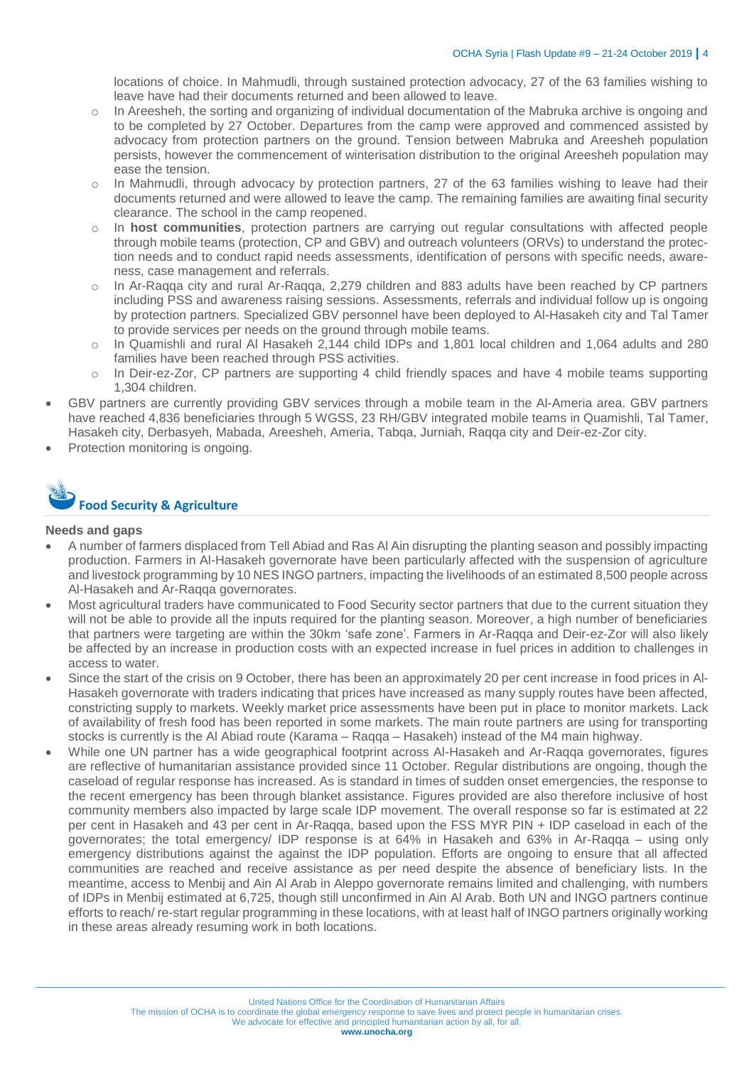locations of choice. In Mahmudli, through sustained protection advocacy, 27 of the 63 families wishing to leave have had their documents returned and been allowed to leave.

- o In Areesheh, the sorting and organizing of individual documentation of the Mabruka archive is ongoing and to be completed by 27 October. Departures from the camp were approved and commenced assisted by advocacy from protection partners on the ground. Tension between Mabruka and Areesheh population persists, however the commencement of winterisation distribution to the original Areesheh population may ease the tension.
- o In Mahmudli, through advocacy by protection partners, 27 of the 63 families wishing to leave had their documents returned and were allowed to leave the camp. The remaining families are awaiting final security clearance. The school in the camp reopened.
- o In **host communities**, protection partners are carrying out regular consultations with affected people through mobile teams (protection, CP and GBV) and outreach volunteers (ORVs) to understand the protection needs and to conduct rapid needs assessments, identification of persons with specific needs, awareness, case management and referrals.
- o In Ar-Raqqa city and rural Ar-Raqqa, 2,279 children and 883 adults have been reached by CP partners including PSS and awareness raising sessions. Assessments, referrals and individual follow up is ongoing by protection partners. Specialized GBV personnel have been deployed to Al-Hasakeh city and Tal Tamer to provide services per needs on the ground through mobile teams.
- In Quamishli and rural AI Hasakeh 2,144 child IDPs and 1,801 local children and 1,064 adults and 280 families have been reached through PSS activities.
- $\circ$  In Deir-ez-Zor, CP partners are supporting 4 child friendly spaces and have 4 mobile teams supporting 1,304 children.
- GBV partners are currently providing GBV services through a mobile team in the Al-Ameria area. GBV partners have reached 4,836 beneficiaries through 5 WGSS, 23 RH/GBV integrated mobile teams in Quamishli, Tal Tamer, Hasakeh city, Derbasyeh, Mabada, Areesheh, Ameria, Tabqa, Jurniah, Raqqa city and Deir-ez-Zor city.
- Protection monitoring is ongoing.



#### **Needs and gaps**

- A number of farmers displaced from Tell Abiad and Ras Al Ain disrupting the planting season and possibly impacting production. Farmers in Al-Hasakeh governorate have been particularly affected with the suspension of agriculture and livestock programming by 10 NES INGO partners, impacting the livelihoods of an estimated 8,500 people across Al-Hasakeh and Ar-Raqqa governorates.
- Most agricultural traders have communicated to Food Security sector partners that due to the current situation they will not be able to provide all the inputs required for the planting season. Moreover, a high number of beneficiaries that partners were targeting are within the 30km 'safe zone'. Farmers in Ar-Raqqa and Deir-ez-Zor will also likely be affected by an increase in production costs with an expected increase in fuel prices in addition to challenges in access to water.
- Since the start of the crisis on 9 October, there has been an approximately 20 per cent increase in food prices in Al-Hasakeh governorate with traders indicating that prices have increased as many supply routes have been affected, constricting supply to markets. Weekly market price assessments have been put in place to monitor markets. Lack of availability of fresh food has been reported in some markets. The main route partners are using for transporting stocks is currently is the Al Abiad route (Karama – Raqqa – Hasakeh) instead of the M4 main highway.
- While one UN partner has a wide geographical footprint across Al-Hasakeh and Ar-Raqqa governorates, figures are reflective of humanitarian assistance provided since 11 October. Regular distributions are ongoing, though the caseload of regular response has increased. As is standard in times of sudden onset emergencies, the response to the recent emergency has been through blanket assistance. Figures provided are also therefore inclusive of host community members also impacted by large scale IDP movement. The overall response so far is estimated at 22 per cent in Hasakeh and 43 per cent in Ar-Raqqa, based upon the FSS MYR PIN + IDP caseload in each of the governorates; the total emergency/ IDP response is at 64% in Hasakeh and 63% in Ar-Raqqa – using only emergency distributions against the against the IDP population. Efforts are ongoing to ensure that all affected communities are reached and receive assistance as per need despite the absence of beneficiary lists. In the meantime, access to Menbij and Ain Al Arab in Aleppo governorate remains limited and challenging, with numbers of IDPs in Menbij estimated at 6,725, though still unconfirmed in Ain Al Arab. Both UN and INGO partners continue efforts to reach/ re-start regular programming in these locations, with at least half of INGO partners originally working in these areas already resuming work in both locations.

The mission of OCHA is to coordinate the global emergency response to save lives and protect people in humanitarian crises.

We advocate for effective and principled humanitarian action by all, for all.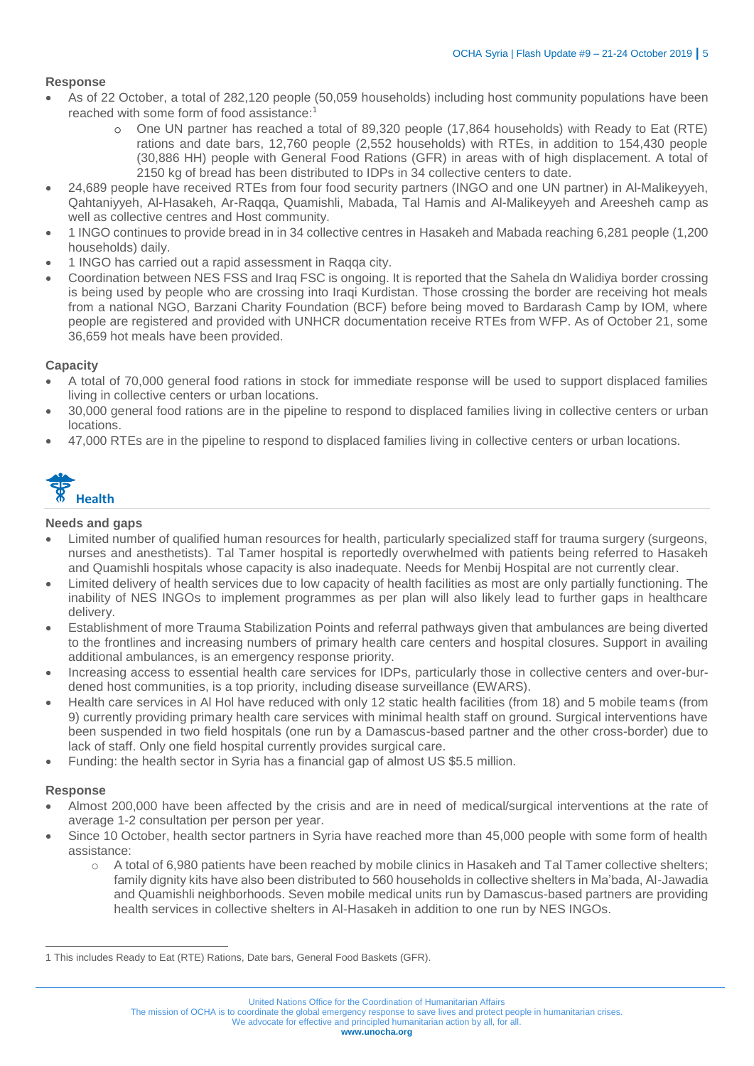#### **Response**

- As of 22 October, a total of 282,120 people (50,059 households) including host community populations have been reached with some form of food assistance:<sup>1</sup>
	- o One UN partner has reached a total of 89,320 people (17,864 households) with Ready to Eat (RTE) rations and date bars, 12,760 people (2,552 households) with RTEs, in addition to 154,430 people (30,886 HH) people with General Food Rations (GFR) in areas with of high displacement. A total of 2150 kg of bread has been distributed to IDPs in 34 collective centers to date.
- 24,689 people have received RTEs from four food security partners (INGO and one UN partner) in Al-Malikeyyeh, Qahtaniyyeh, Al-Hasakeh, Ar-Raqqa, Quamishli, Mabada, Tal Hamis and Al-Malikeyyeh and Areesheh camp as well as collective centres and Host community.
- 1 INGO continues to provide bread in in 34 collective centres in Hasakeh and Mabada reaching 6,281 people (1,200 households) daily.
- 1 INGO has carried out a rapid assessment in Raqqa city.
- Coordination between NES FSS and Iraq FSC is ongoing. It is reported that the Sahela dn Walidiya border crossing is being used by people who are crossing into Iraqi Kurdistan. Those crossing the border are receiving hot meals from a national NGO, Barzani Charity Foundation (BCF) before being moved to Bardarash Camp by IOM, where people are registered and provided with UNHCR documentation receive RTEs from WFP. As of October 21, some 36,659 hot meals have been provided.

#### **Capacity**

- A total of 70,000 general food rations in stock for immediate response will be used to support displaced families living in collective centers or urban locations.
- 30,000 general food rations are in the pipeline to respond to displaced families living in collective centers or urban locations.
- 47,000 RTEs are in the pipeline to respond to displaced families living in collective centers or urban locations.



#### **Needs and gaps**

- Limited number of qualified human resources for health, particularly specialized staff for trauma surgery (surgeons, nurses and anesthetists). Tal Tamer hospital is reportedly overwhelmed with patients being referred to Hasakeh and Quamishli hospitals whose capacity is also inadequate. Needs for Menbij Hospital are not currently clear.
- Limited delivery of health services due to low capacity of health facilities as most are only partially functioning. The inability of NES INGOs to implement programmes as per plan will also likely lead to further gaps in healthcare delivery.
- Establishment of more Trauma Stabilization Points and referral pathways given that ambulances are being diverted to the frontlines and increasing numbers of primary health care centers and hospital closures. Support in availing additional ambulances, is an emergency response priority.
- Increasing access to essential health care services for IDPs, particularly those in collective centers and over-burdened host communities, is a top priority, including disease surveillance (EWARS).
- Health care services in Al Hol have reduced with only 12 static health facilities (from 18) and 5 mobile teams (from 9) currently providing primary health care services with minimal health staff on ground. Surgical interventions have been suspended in two field hospitals (one run by a Damascus-based partner and the other cross-border) due to lack of staff. Only one field hospital currently provides surgical care.
- Funding: the health sector in Syria has a financial gap of almost US \$5.5 million.

#### **Response**

- Almost 200,000 have been affected by the crisis and are in need of medical/surgical interventions at the rate of average 1-2 consultation per person per year.
- Since 10 October, health sector partners in Syria have reached more than 45,000 people with some form of health assistance:
	- o A total of 6,980 patients have been reached by mobile clinics in Hasakeh and Tal Tamer collective shelters; family dignity kits have also been distributed to 560 households in collective shelters in Ma'bada, Al-Jawadia and Quamishli neighborhoods. Seven mobile medical units run by Damascus-based partners are providing health services in collective shelters in Al-Hasakeh in addition to one run by NES INGOs.

The mission of OCHA is to coordinate the global emergency response to save lives and protect people in humanitarian crises.

We advocate for effective and principled humanitarian action by all, for all.

 $\overline{a}$ 1 This includes Ready to Eat (RTE) Rations, Date bars, General Food Baskets (GFR).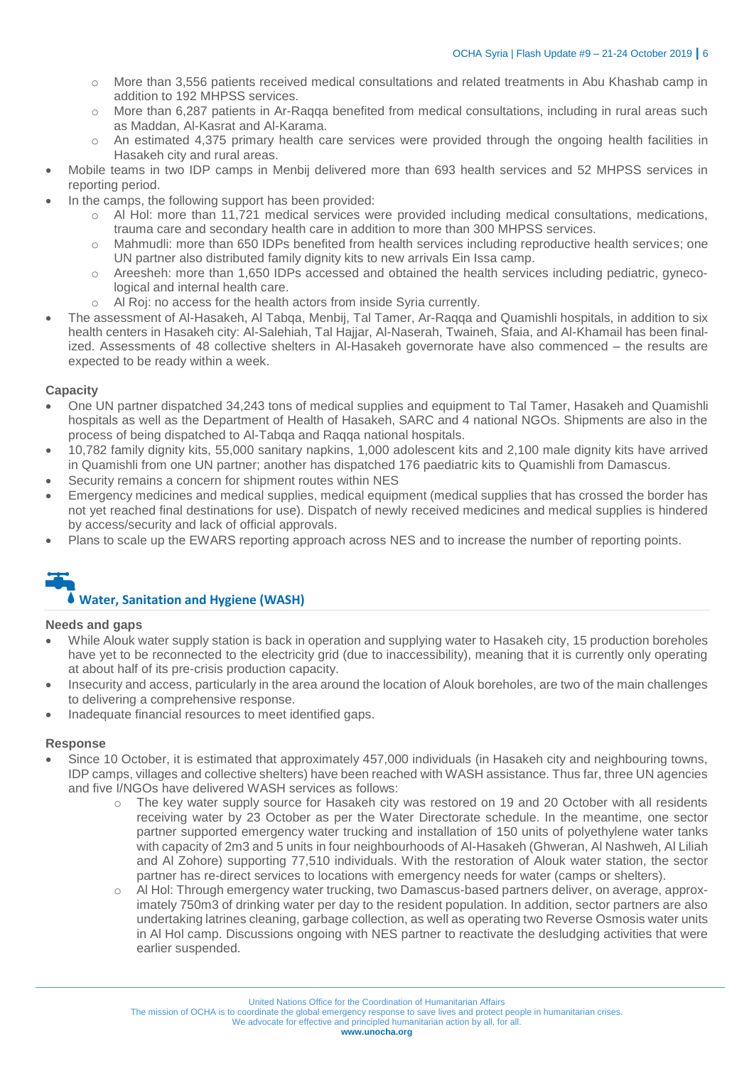- o More than 3,556 patients received medical consultations and related treatments in Abu Khashab camp in addition to 192 MHPSS services.
- o More than 6,287 patients in Ar-Raqqa benefited from medical consultations, including in rural areas such as Maddan, Al-Kasrat and Al-Karama.
- o An estimated 4,375 primary health care services were provided through the ongoing health facilities in Hasakeh city and rural areas.
- Mobile teams in two IDP camps in Menbij delivered more than 693 health services and 52 MHPSS services in reporting period.
- In the camps, the following support has been provided:
	- o Al Hol: more than 11,721 medical services were provided including medical consultations, medications, trauma care and secondary health care in addition to more than 300 MHPSS services.
	- o Mahmudli: more than 650 IDPs benefited from health services including reproductive health services; one UN partner also distributed family dignity kits to new arrivals Ein Issa camp.
	- o Areesheh: more than 1,650 IDPs accessed and obtained the health services including pediatric, gynecological and internal health care.
	- o Al Roj: no access for the health actors from inside Syria currently.
- The assessment of Al-Hasakeh, Al Tabqa, Menbij, Tal Tamer, Ar-Raqqa and Quamishli hospitals, in addition to six health centers in Hasakeh city: Al-Salehiah, Tal Hajjar, Al-Naserah, Twaineh, Sfaia, and Al-Khamail has been finalized. Assessments of 48 collective shelters in Al-Hasakeh governorate have also commenced – the results are expected to be ready within a week.

#### **Capacity**

- One UN partner dispatched 34,243 tons of medical supplies and equipment to Tal Tamer, Hasakeh and Quamishli hospitals as well as the Department of Health of Hasakeh, SARC and 4 national NGOs. Shipments are also in the process of being dispatched to Al-Tabqa and Raqqa national hospitals.
- 10,782 family dignity kits, 55,000 sanitary napkins, 1,000 adolescent kits and 2,100 male dignity kits have arrived in Quamishli from one UN partner; another has dispatched 176 paediatric kits to Quamishli from Damascus.
- Security remains a concern for shipment routes within NES
- Emergency medicines and medical supplies, medical equipment (medical supplies that has crossed the border has not yet reached final destinations for use). Dispatch of newly received medicines and medical supplies is hindered by access/security and lack of official approvals.
- Plans to scale up the EWARS reporting approach across NES and to increase the number of reporting points.

#### **Water, Sanitation and Hygiene (WASH)**

#### **Needs and gaps**

- While Alouk water supply station is back in operation and supplying water to Hasakeh city, 15 production boreholes have yet to be reconnected to the electricity grid (due to inaccessibility), meaning that it is currently only operating at about half of its pre-crisis production capacity.
- Insecurity and access, particularly in the area around the location of Alouk boreholes, are two of the main challenges to delivering a comprehensive response.
- Inadequate financial resources to meet identified gaps.

#### **Response**

- Since 10 October, it is estimated that approximately 457,000 individuals (in Hasakeh city and neighbouring towns, IDP camps, villages and collective shelters) have been reached with WASH assistance. Thus far, three UN agencies and five I/NGOs have delivered WASH services as follows:
	- The key water supply source for Hasakeh city was restored on 19 and 20 October with all residents receiving water by 23 October as per the Water Directorate schedule. In the meantime, one sector partner supported emergency water trucking and installation of 150 units of polyethylene water tanks with capacity of 2m3 and 5 units in four neighbourhoods of Al-Hasakeh (Ghweran, Al Nashweh, Al Liliah and Al Zohore) supporting 77,510 individuals. With the restoration of Alouk water station, the sector partner has re-direct services to locations with emergency needs for water (camps or shelters).
	- o Al Hol: Through emergency water trucking, two Damascus-based partners deliver, on average, approximately 750m3 of drinking water per day to the resident population. In addition, sector partners are also undertaking latrines cleaning, garbage collection, as well as operating two Reverse Osmosis water units in Al Hol camp. Discussions ongoing with NES partner to reactivate the desludging activities that were earlier suspended.

The mission of OCHA is to coordinate the global emergency response to save lives and protect people in humanitarian crises.

We advocate for effective and principled humanitarian action by all, for all.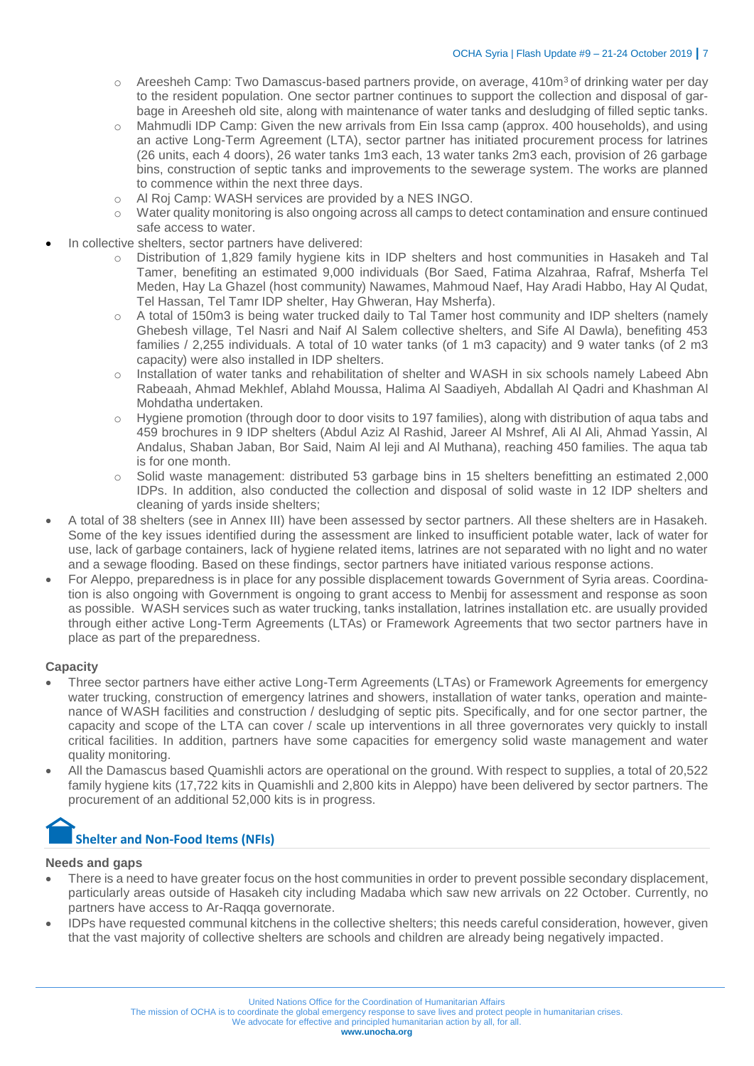- $\circ$  Areesheh Camp: Two Damascus-based partners provide, on average, 410m<sup>3</sup> of drinking water per day to the resident population. One sector partner continues to support the collection and disposal of garbage in Areesheh old site, along with maintenance of water tanks and desludging of filled septic tanks.
- o Mahmudli IDP Camp: Given the new arrivals from Ein Issa camp (approx. 400 households), and using an active Long-Term Agreement (LTA), sector partner has initiated procurement process for latrines (26 units, each 4 doors), 26 water tanks 1m3 each, 13 water tanks 2m3 each, provision of 26 garbage bins, construction of septic tanks and improvements to the sewerage system. The works are planned to commence within the next three days.
- o Al Roj Camp: WASH services are provided by a NES INGO.
- o Water quality monitoring is also ongoing across all camps to detect contamination and ensure continued safe access to water.
- In collective shelters, sector partners have delivered:
	- o Distribution of 1,829 family hygiene kits in IDP shelters and host communities in Hasakeh and Tal Tamer, benefiting an estimated 9,000 individuals (Bor Saed, Fatima Alzahraa, Rafraf, Msherfa Tel Meden, Hay La Ghazel (host community) Nawames, Mahmoud Naef, Hay Aradi Habbo, Hay Al Qudat, Tel Hassan, Tel Tamr IDP shelter, Hay Ghweran, Hay Msherfa).
	- o A total of 150m3 is being water trucked daily to Tal Tamer host community and IDP shelters (namely Ghebesh village, Tel Nasri and Naif Al Salem collective shelters, and Sife Al Dawla), benefiting 453 families / 2,255 individuals. A total of 10 water tanks (of 1 m3 capacity) and 9 water tanks (of 2 m3 capacity) were also installed in IDP shelters.
	- o Installation of water tanks and rehabilitation of shelter and WASH in six schools namely Labeed Abn Rabeaah, Ahmad Mekhlef, Ablahd Moussa, Halima Al Saadiyeh, Abdallah Al Qadri and Khashman Al Mohdatha undertaken.
	- o Hygiene promotion (through door to door visits to 197 families), along with distribution of aqua tabs and 459 brochures in 9 IDP shelters (Abdul Aziz Al Rashid, Jareer Al Mshref, Ali Al Ali, Ahmad Yassin, Al Andalus, Shaban Jaban, Bor Said, Naim Al leji and Al Muthana), reaching 450 families. The aqua tab is for one month.
	- Solid waste management: distributed 53 garbage bins in 15 shelters benefitting an estimated 2,000 IDPs. In addition, also conducted the collection and disposal of solid waste in 12 IDP shelters and cleaning of yards inside shelters;
- A total of 38 shelters (see in Annex III) have been assessed by sector partners. All these shelters are in Hasakeh. Some of the key issues identified during the assessment are linked to insufficient potable water, lack of water for use, lack of garbage containers, lack of hygiene related items, latrines are not separated with no light and no water and a sewage flooding. Based on these findings, sector partners have initiated various response actions.
- For Aleppo, preparedness is in place for any possible displacement towards Government of Syria areas. Coordination is also ongoing with Government is ongoing to grant access to Menbij for assessment and response as soon as possible. WASH services such as water trucking, tanks installation, latrines installation etc. are usually provided through either active Long-Term Agreements (LTAs) or Framework Agreements that two sector partners have in place as part of the preparedness.

#### **Capacity**

- Three sector partners have either active Long-Term Agreements (LTAs) or Framework Agreements for emergency water trucking, construction of emergency latrines and showers, installation of water tanks, operation and maintenance of WASH facilities and construction / desludging of septic pits. Specifically, and for one sector partner, the capacity and scope of the LTA can cover / scale up interventions in all three governorates very quickly to install critical facilities. In addition, partners have some capacities for emergency solid waste management and water quality monitoring.
- All the Damascus based Quamishli actors are operational on the ground. With respect to supplies, a total of 20,522 family hygiene kits (17,722 kits in Quamishli and 2,800 kits in Aleppo) have been delivered by sector partners. The procurement of an additional 52,000 kits is in progress.

## **Shelter and Non-Food Items (NFIs)**

#### **Needs and gaps**

- There is a need to have greater focus on the host communities in order to prevent possible secondary displacement, particularly areas outside of Hasakeh city including Madaba which saw new arrivals on 22 October. Currently, no partners have access to Ar-Raqqa governorate.
- IDPs have requested communal kitchens in the collective shelters; this needs careful consideration, however, given that the vast majority of collective shelters are schools and children are already being negatively impacted.

The mission of OCHA is to coordinate the global emergency response to save lives and protect people in humanitarian crises.

We advocate for effective and principled humanitarian action by all, for all.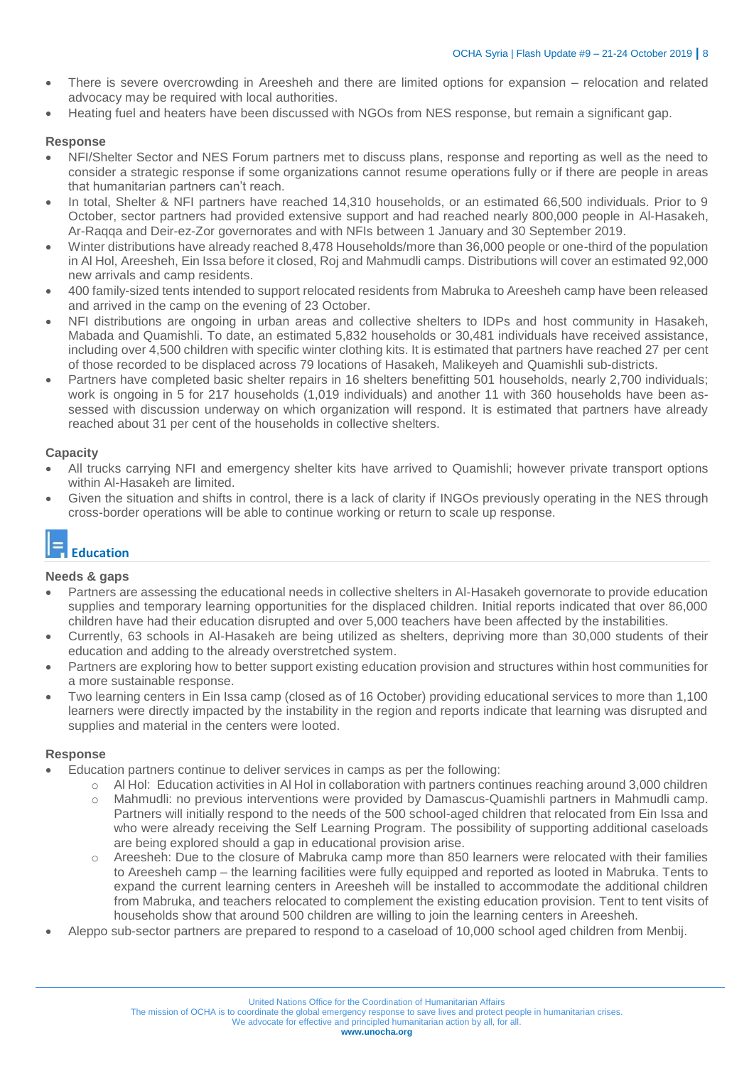- There is severe overcrowding in Areesheh and there are limited options for expansion relocation and related advocacy may be required with local authorities.
- Heating fuel and heaters have been discussed with NGOs from NES response, but remain a significant gap.

#### **Response**

- NFI/Shelter Sector and NES Forum partners met to discuss plans, response and reporting as well as the need to consider a strategic response if some organizations cannot resume operations fully or if there are people in areas that humanitarian partners can't reach.
- In total, Shelter & NFI partners have reached 14,310 households, or an estimated 66,500 individuals. Prior to 9 October, sector partners had provided extensive support and had reached nearly 800,000 people in Al-Hasakeh, Ar-Raqqa and Deir-ez-Zor governorates and with NFIs between 1 January and 30 September 2019.
- Winter distributions have already reached 8,478 Households/more than 36,000 people or one-third of the population in Al Hol, Areesheh, Ein Issa before it closed, Roj and Mahmudli camps. Distributions will cover an estimated 92,000 new arrivals and camp residents.
- 400 family-sized tents intended to support relocated residents from Mabruka to Areesheh camp have been released and arrived in the camp on the evening of 23 October.
- NFI distributions are ongoing in urban areas and collective shelters to IDPs and host community in Hasakeh, Mabada and Quamishli. To date, an estimated 5,832 households or 30,481 individuals have received assistance, including over 4,500 children with specific winter clothing kits. It is estimated that partners have reached 27 per cent of those recorded to be displaced across 79 locations of Hasakeh, Malikeyeh and Quamishli sub-districts.
- Partners have completed basic shelter repairs in 16 shelters benefitting 501 households, nearly 2,700 individuals; work is ongoing in 5 for 217 households (1,019 individuals) and another 11 with 360 households have been assessed with discussion underway on which organization will respond. It is estimated that partners have already reached about 31 per cent of the households in collective shelters.

#### **Capacity**

- All trucks carrying NFI and emergency shelter kits have arrived to Quamishli; however private transport options within Al-Hasakeh are limited.
- Given the situation and shifts in control, there is a lack of clarity if INGOs previously operating in the NES through cross-border operations will be able to continue working or return to scale up response.

## **Education**

### **Needs & gaps**

- Partners are assessing the educational needs in collective shelters in Al-Hasakeh governorate to provide education supplies and temporary learning opportunities for the displaced children. Initial reports indicated that over 86,000 children have had their education disrupted and over 5,000 teachers have been affected by the instabilities.
- Currently, 63 schools in Al-Hasakeh are being utilized as shelters, depriving more than 30,000 students of their education and adding to the already overstretched system.
- Partners are exploring how to better support existing education provision and structures within host communities for a more sustainable response.
- Two learning centers in Ein Issa camp (closed as of 16 October) providing educational services to more than 1,100 learners were directly impacted by the instability in the region and reports indicate that learning was disrupted and supplies and material in the centers were looted.

#### **Response**

- Education partners continue to deliver services in camps as per the following:
	- o Al Hol: Education activities in Al Hol in collaboration with partners continues reaching around 3,000 children o Mahmudli: no previous interventions were provided by Damascus-Quamishli partners in Mahmudli camp. Partners will initially respond to the needs of the 500 school-aged children that relocated from Ein Issa and who were already receiving the Self Learning Program. The possibility of supporting additional caseloads are being explored should a gap in educational provision arise.
	- o Areesheh: Due to the closure of Mabruka camp more than 850 learners were relocated with their families to Areesheh camp – the learning facilities were fully equipped and reported as looted in Mabruka. Tents to expand the current learning centers in Areesheh will be installed to accommodate the additional children from Mabruka, and teachers relocated to complement the existing education provision. Tent to tent visits of households show that around 500 children are willing to join the learning centers in Areesheh.
- Aleppo sub-sector partners are prepared to respond to a caseload of 10,000 school aged children from Menbij.